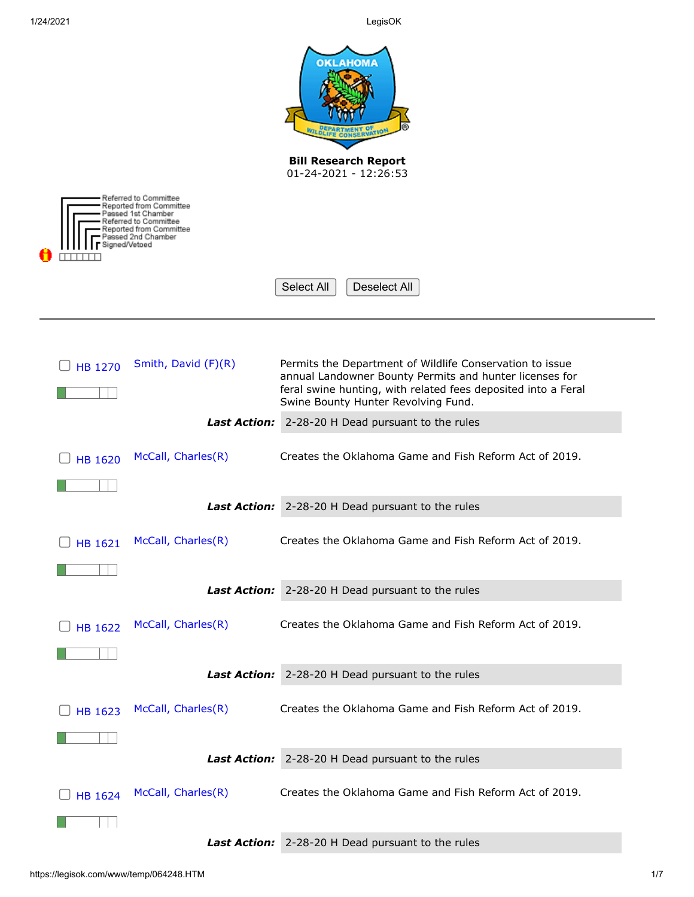|                                                                                                                                                 |                     | <b>OKLAHOMA</b><br><b>Bill Research Report</b><br>01-24-2021 - 12:26:53                                                                                                                                                     |  |
|-------------------------------------------------------------------------------------------------------------------------------------------------|---------------------|-----------------------------------------------------------------------------------------------------------------------------------------------------------------------------------------------------------------------------|--|
| Referred to Committee<br>Reported from Committee<br>Passed 1st Chamber<br>Referred to Committee<br>Reported from Committee<br>assed 2nd Chamber |                     |                                                                                                                                                                                                                             |  |
| Signed/Vetoed                                                                                                                                   |                     | Deselect All<br>Select All                                                                                                                                                                                                  |  |
|                                                                                                                                                 |                     |                                                                                                                                                                                                                             |  |
| <b>HB 1270</b>                                                                                                                                  | Smith, David (F)(R) | Permits the Department of Wildlife Conservation to issue<br>annual Landowner Bounty Permits and hunter licenses for<br>feral swine hunting, with related fees deposited into a Feral<br>Swine Bounty Hunter Revolving Fund. |  |
|                                                                                                                                                 | <b>Last Action:</b> | 2-28-20 H Dead pursuant to the rules                                                                                                                                                                                        |  |
| <b>HB 1620</b>                                                                                                                                  | McCall, Charles(R)  | Creates the Oklahoma Game and Fish Reform Act of 2019.                                                                                                                                                                      |  |
|                                                                                                                                                 | <b>Last Action:</b> | 2-28-20 H Dead pursuant to the rules                                                                                                                                                                                        |  |
|                                                                                                                                                 |                     |                                                                                                                                                                                                                             |  |
| <b>HB 1621</b>                                                                                                                                  | McCall, Charles(R)  | Creates the Oklahoma Game and Fish Reform Act of 2019.                                                                                                                                                                      |  |
|                                                                                                                                                 |                     |                                                                                                                                                                                                                             |  |
|                                                                                                                                                 |                     | Last Action: 2-28-20 H Dead pursuant to the rules                                                                                                                                                                           |  |
| <b>HB 1622</b>                                                                                                                                  | McCall, Charles(R)  | Creates the Oklahoma Game and Fish Reform Act of 2019.                                                                                                                                                                      |  |
|                                                                                                                                                 |                     |                                                                                                                                                                                                                             |  |
|                                                                                                                                                 |                     | Last Action: 2-28-20 H Dead pursuant to the rules                                                                                                                                                                           |  |
| <b>HB 1623</b>                                                                                                                                  | McCall, Charles(R)  | Creates the Oklahoma Game and Fish Reform Act of 2019.                                                                                                                                                                      |  |
|                                                                                                                                                 |                     |                                                                                                                                                                                                                             |  |
|                                                                                                                                                 |                     | Last Action: 2-28-20 H Dead pursuant to the rules                                                                                                                                                                           |  |
|                                                                                                                                                 | McCall, Charles(R)  | Creates the Oklahoma Game and Fish Reform Act of 2019.                                                                                                                                                                      |  |
| <b>HB 1624</b>                                                                                                                                  |                     |                                                                                                                                                                                                                             |  |
|                                                                                                                                                 |                     | Last Action: 2-28-20 H Dead pursuant to the rules                                                                                                                                                                           |  |
|                                                                                                                                                 |                     |                                                                                                                                                                                                                             |  |

-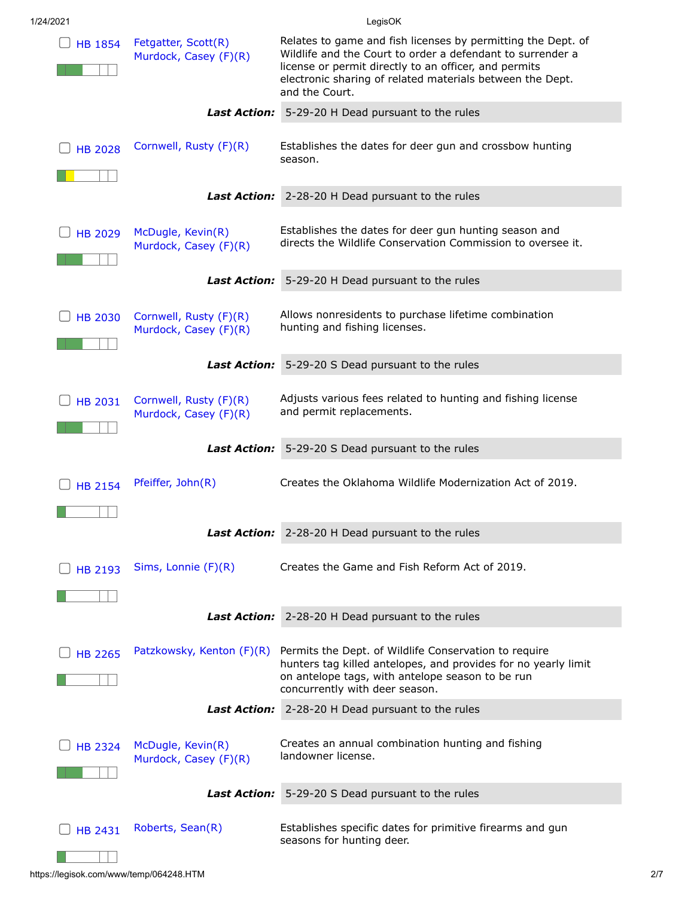| 1/24/2021 |  |
|-----------|--|

LegisOK

| <b>HB 1854</b> | Fetgatter, Scott(R)<br>Murdock, Casey (F)(R)    | Relates to game and fish licenses by permitting the Dept. of<br>Wildlife and the Court to order a defendant to surrender a<br>license or permit directly to an officer, and permits<br>electronic sharing of related materials between the Dept.<br>and the Court. |
|----------------|-------------------------------------------------|--------------------------------------------------------------------------------------------------------------------------------------------------------------------------------------------------------------------------------------------------------------------|
|                | <b>Last Action:</b>                             | 5-29-20 H Dead pursuant to the rules                                                                                                                                                                                                                               |
| <b>HB 2028</b> | Cornwell, Rusty (F)(R)                          | Establishes the dates for deer gun and crossbow hunting<br>season.                                                                                                                                                                                                 |
|                | <b>Last Action:</b>                             | 2-28-20 H Dead pursuant to the rules                                                                                                                                                                                                                               |
| <b>HB 2029</b> | McDugle, Kevin(R)<br>Murdock, Casey (F)(R)      | Establishes the dates for deer gun hunting season and<br>directs the Wildlife Conservation Commission to oversee it.                                                                                                                                               |
|                | <b>Last Action:</b>                             | 5-29-20 H Dead pursuant to the rules                                                                                                                                                                                                                               |
| <b>HB 2030</b> | Cornwell, Rusty (F)(R)<br>Murdock, Casey (F)(R) | Allows nonresidents to purchase lifetime combination<br>hunting and fishing licenses.                                                                                                                                                                              |
|                | <b>Last Action:</b>                             | 5-29-20 S Dead pursuant to the rules                                                                                                                                                                                                                               |
| <b>HB 2031</b> | Cornwell, Rusty (F)(R)<br>Murdock, Casey (F)(R) | Adjusts various fees related to hunting and fishing license<br>and permit replacements.                                                                                                                                                                            |
|                | <b>Last Action:</b>                             | 5-29-20 S Dead pursuant to the rules                                                                                                                                                                                                                               |
| <b>HB 2154</b> | Pfeiffer, John(R)                               | Creates the Oklahoma Wildlife Modernization Act of 2019.                                                                                                                                                                                                           |
|                |                                                 | Last Action: 2-28-20 H Dead pursuant to the rules                                                                                                                                                                                                                  |
| <b>HB 2193</b> | Sims, Lonnie $(F)(R)$                           | Creates the Game and Fish Reform Act of 2019.                                                                                                                                                                                                                      |
|                |                                                 | Last Action: 2-28-20 H Dead pursuant to the rules                                                                                                                                                                                                                  |
|                |                                                 |                                                                                                                                                                                                                                                                    |
| <b>HB 2265</b> | Patzkowsky, Kenton (F)(R)                       | Permits the Dept. of Wildlife Conservation to require<br>hunters tag killed antelopes, and provides for no yearly limit<br>on antelope tags, with antelope season to be run<br>concurrently with deer season.                                                      |
|                |                                                 | Last Action: 2-28-20 H Dead pursuant to the rules                                                                                                                                                                                                                  |
| <b>HB 2324</b> | McDugle, Kevin(R)<br>Murdock, Casey (F)(R)      | Creates an annual combination hunting and fishing<br>landowner license.                                                                                                                                                                                            |
|                | <b>Last Action:</b>                             | 5-29-20 S Dead pursuant to the rules                                                                                                                                                                                                                               |
| <b>HB 2431</b> | Roberts, Sean(R)                                | Establishes specific dates for primitive firearms and gun<br>seasons for hunting deer.                                                                                                                                                                             |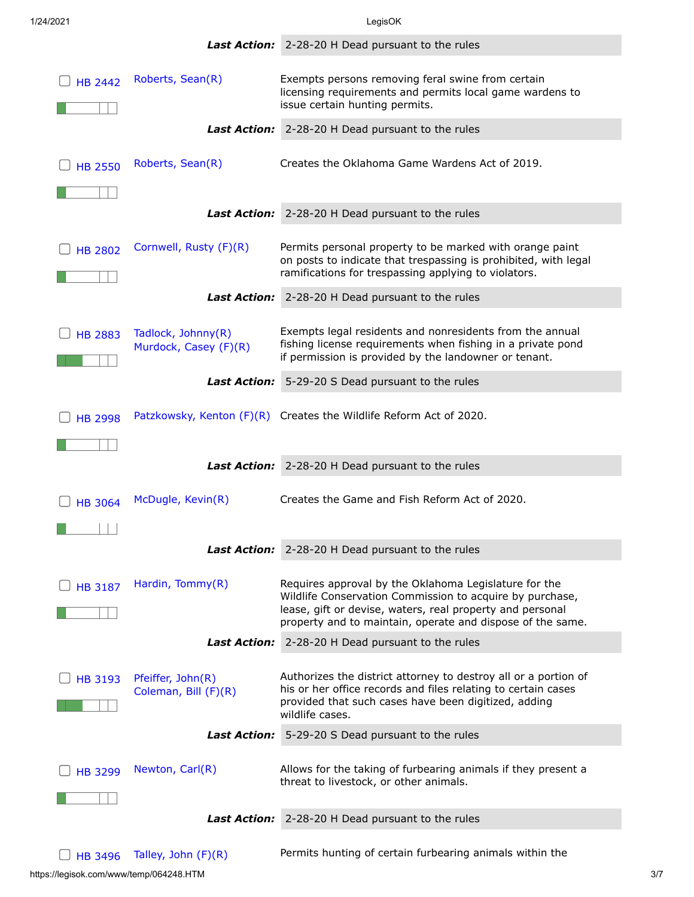|                |                                             | <b>Last Action:</b> 2-28-20 H Dead pursuant to the rules                                                                                                                                                                                     |
|----------------|---------------------------------------------|----------------------------------------------------------------------------------------------------------------------------------------------------------------------------------------------------------------------------------------------|
| <b>HB 2442</b> | Roberts, Sean(R)                            | Exempts persons removing feral swine from certain<br>licensing requirements and permits local game wardens to<br>issue certain hunting permits.                                                                                              |
|                | <i>Last Action:</i>                         | 2-28-20 H Dead pursuant to the rules                                                                                                                                                                                                         |
| <b>HB 2550</b> | Roberts, Sean(R)                            | Creates the Oklahoma Game Wardens Act of 2019.                                                                                                                                                                                               |
|                |                                             | Last Action: 2-28-20 H Dead pursuant to the rules                                                                                                                                                                                            |
| <b>HB 2802</b> | Cornwell, Rusty (F)(R)                      | Permits personal property to be marked with orange paint<br>on posts to indicate that trespassing is prohibited, with legal<br>ramifications for trespassing applying to violators.                                                          |
|                | <i>Last Action:</i>                         | 2-28-20 H Dead pursuant to the rules                                                                                                                                                                                                         |
| <b>HB 2883</b> | Tadlock, Johnny(R)<br>Murdock, Casey (F)(R) | Exempts legal residents and nonresidents from the annual<br>fishing license requirements when fishing in a private pond<br>if permission is provided by the landowner or tenant.                                                             |
|                | <b>Last Action:</b>                         | 5-29-20 S Dead pursuant to the rules                                                                                                                                                                                                         |
| <b>HB 2998</b> |                                             | Patzkowsky, Kenton $(F)(R)$ Creates the Wildlife Reform Act of 2020.                                                                                                                                                                         |
|                |                                             | Last Action: 2-28-20 H Dead pursuant to the rules                                                                                                                                                                                            |
| <b>HB 3064</b> | McDugle, Kevin(R)                           | Creates the Game and Fish Reform Act of 2020.                                                                                                                                                                                                |
|                |                                             | Last Action: 2-28-20 H Dead pursuant to the rules                                                                                                                                                                                            |
| <b>HB 3187</b> | Hardin, Tommy(R)                            | Requires approval by the Oklahoma Legislature for the<br>Wildlife Conservation Commission to acquire by purchase,<br>lease, gift or devise, waters, real property and personal<br>property and to maintain, operate and dispose of the same. |
|                | <b>Last Action:</b>                         | 2-28-20 H Dead pursuant to the rules                                                                                                                                                                                                         |
| <b>HB 3193</b> | Pfeiffer, John(R)<br>Coleman, Bill (F)(R)   | Authorizes the district attorney to destroy all or a portion of<br>his or her office records and files relating to certain cases<br>provided that such cases have been digitized, adding<br>wildlife cases.                                  |
|                | <i>Last Action:</i>                         | 5-29-20 S Dead pursuant to the rules                                                                                                                                                                                                         |
| <b>HB 3299</b> | Newton, Carl(R)                             | Allows for the taking of furbearing animals if they present a<br>threat to livestock, or other animals.                                                                                                                                      |
|                | Last Action:                                | 2-28-20 H Dead pursuant to the rules                                                                                                                                                                                                         |
| <b>HB 3496</b> | Talley, John (F)(R)                         | Permits hunting of certain furbearing animals within the                                                                                                                                                                                     |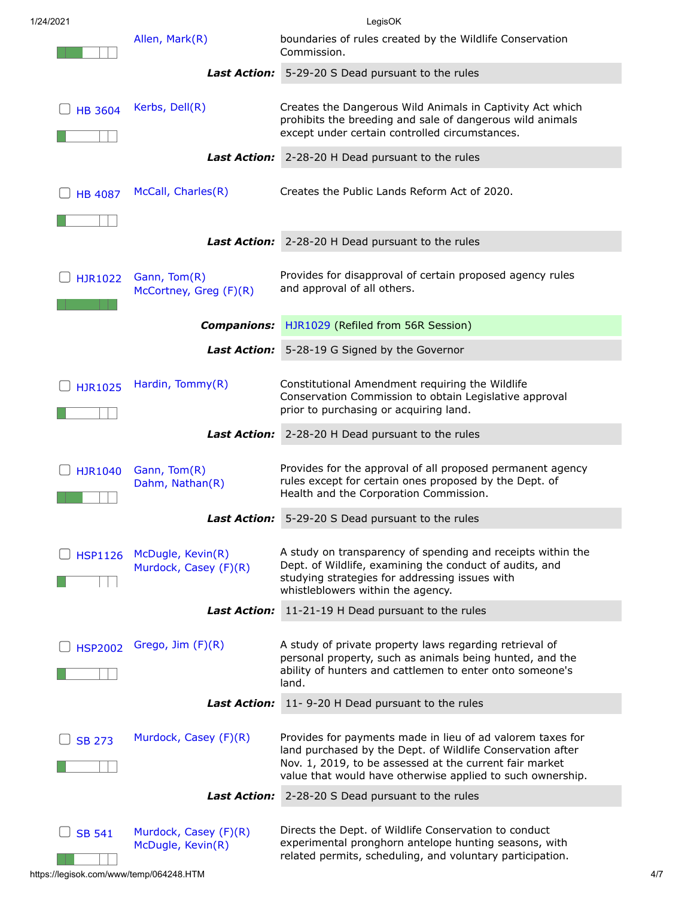| 1/24/2021      | LegisOK                                    |                                                                                                                                                                                                                                                   |
|----------------|--------------------------------------------|---------------------------------------------------------------------------------------------------------------------------------------------------------------------------------------------------------------------------------------------------|
|                | Allen, Mark(R)                             | boundaries of rules created by the Wildlife Conservation<br>Commission.                                                                                                                                                                           |
|                |                                            | Last Action: 5-29-20 S Dead pursuant to the rules                                                                                                                                                                                                 |
| <b>HB 3604</b> | Kerbs, Dell(R)                             | Creates the Dangerous Wild Animals in Captivity Act which<br>prohibits the breeding and sale of dangerous wild animals<br>except under certain controlled circumstances.                                                                          |
|                |                                            | Last Action: 2-28-20 H Dead pursuant to the rules                                                                                                                                                                                                 |
|                |                                            |                                                                                                                                                                                                                                                   |
| <b>HB 4087</b> | McCall, Charles(R)                         | Creates the Public Lands Reform Act of 2020.                                                                                                                                                                                                      |
|                |                                            |                                                                                                                                                                                                                                                   |
|                |                                            | Last Action: 2-28-20 H Dead pursuant to the rules                                                                                                                                                                                                 |
| HJR1022        | Gann, Tom(R)<br>McCortney, Greg (F)(R)     | Provides for disapproval of certain proposed agency rules<br>and approval of all others.                                                                                                                                                          |
|                | <b>Companions:</b>                         | HJR1029 (Refiled from 56R Session)                                                                                                                                                                                                                |
|                |                                            | Last Action: 5-28-19 G Signed by the Governor                                                                                                                                                                                                     |
| <b>HJR1025</b> | Hardin, Tommy(R)                           | Constitutional Amendment requiring the Wildlife<br>Conservation Commission to obtain Legislative approval<br>prior to purchasing or acquiring land.                                                                                               |
|                |                                            | Last Action: 2-28-20 H Dead pursuant to the rules                                                                                                                                                                                                 |
| <b>HJR1040</b> | Gann, Tom(R)<br>Dahm, Nathan(R)            | Provides for the approval of all proposed permanent agency<br>rules except for certain ones proposed by the Dept. of<br>Health and the Corporation Commission.                                                                                    |
|                |                                            | Last Action: 5-29-20 S Dead pursuant to the rules                                                                                                                                                                                                 |
| <b>HSP1126</b> | McDugle, Kevin(R)<br>Murdock, Casey (F)(R) | A study on transparency of spending and receipts within the<br>Dept. of Wildlife, examining the conduct of audits, and<br>studying strategies for addressing issues with<br>whistleblowers within the agency.                                     |
|                | <i>Last Action:</i>                        | 11-21-19 H Dead pursuant to the rules                                                                                                                                                                                                             |
| <b>HSP2002</b> | Grego, $Jim(F)(R)$                         | A study of private property laws regarding retrieval of<br>personal property, such as animals being hunted, and the<br>ability of hunters and cattlemen to enter onto someone's<br>land.                                                          |
|                |                                            | Last Action: 11-9-20 H Dead pursuant to the rules                                                                                                                                                                                                 |
| <b>SB 273</b>  | Murdock, Casey (F)(R)                      | Provides for payments made in lieu of ad valorem taxes for<br>land purchased by the Dept. of Wildlife Conservation after<br>Nov. 1, 2019, to be assessed at the current fair market<br>value that would have otherwise applied to such ownership. |
|                | <b>Last Action:</b>                        | 2-28-20 S Dead pursuant to the rules                                                                                                                                                                                                              |
| <b>SB 541</b>  | Murdock, Casey (F)(R)<br>McDugle, Kevin(R) | Directs the Dept. of Wildlife Conservation to conduct<br>experimental pronghorn antelope hunting seasons, with<br>related permits, scheduling, and voluntary participation.                                                                       |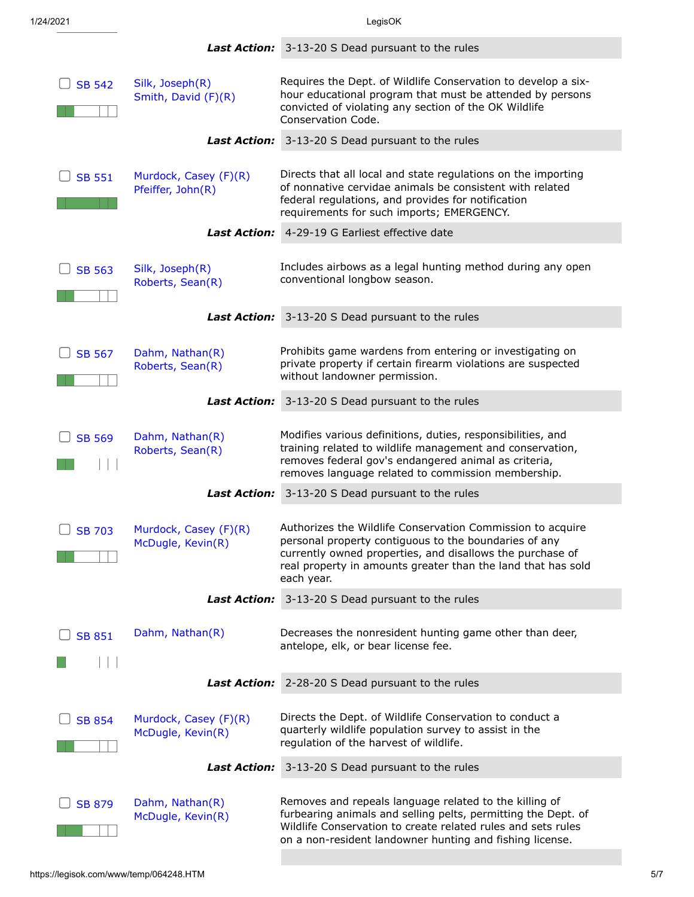|               |                                            | <b>Last Action:</b> 3-13-20 S Dead pursuant to the rules                                                                                                                                                                                                       |
|---------------|--------------------------------------------|----------------------------------------------------------------------------------------------------------------------------------------------------------------------------------------------------------------------------------------------------------------|
| <b>SB 542</b> | Silk, Joseph(R)<br>Smith, David (F)(R)     | Requires the Dept. of Wildlife Conservation to develop a six-<br>hour educational program that must be attended by persons<br>convicted of violating any section of the OK Wildlife<br>Conservation Code.                                                      |
|               | <b>Last Action:</b>                        | 3-13-20 S Dead pursuant to the rules                                                                                                                                                                                                                           |
| <b>SB 551</b> | Murdock, Casey (F)(R)<br>Pfeiffer, John(R) | Directs that all local and state regulations on the importing<br>of nonnative cervidae animals be consistent with related<br>federal regulations, and provides for notification<br>requirements for such imports; EMERGENCY.                                   |
|               |                                            | <b>Last Action:</b> 4-29-19 G Earliest effective date                                                                                                                                                                                                          |
| <b>SB 563</b> | Silk, Joseph(R)<br>Roberts, Sean(R)        | Includes airbows as a legal hunting method during any open<br>conventional longbow season.                                                                                                                                                                     |
|               | <b>Last Action:</b>                        | 3-13-20 S Dead pursuant to the rules                                                                                                                                                                                                                           |
| <b>SB 567</b> | Dahm, Nathan(R)<br>Roberts, Sean(R)        | Prohibits game wardens from entering or investigating on<br>private property if certain firearm violations are suspected<br>without landowner permission.                                                                                                      |
|               |                                            | Last Action: 3-13-20 S Dead pursuant to the rules                                                                                                                                                                                                              |
| <b>SB 569</b> | Dahm, Nathan(R)<br>Roberts, Sean(R)        | Modifies various definitions, duties, responsibilities, and<br>training related to wildlife management and conservation,<br>removes federal gov's endangered animal as criteria,<br>removes language related to commission membership.                         |
|               | <b>Last Action:</b>                        | 3-13-20 S Dead pursuant to the rules                                                                                                                                                                                                                           |
| <b>SB 703</b> | Murdock, Casey (F)(R)<br>McDugle, Kevin(R) | Authorizes the Wildlife Conservation Commission to acquire<br>personal property contiguous to the boundaries of any<br>currently owned properties, and disallows the purchase of<br>real property in amounts greater than the land that has sold<br>each year. |
|               | <b>Last Action:</b>                        | 3-13-20 S Dead pursuant to the rules                                                                                                                                                                                                                           |
| <b>SB 851</b> | Dahm, Nathan(R)                            | Decreases the nonresident hunting game other than deer,<br>antelope, elk, or bear license fee.                                                                                                                                                                 |
|               | <b>Last Action:</b>                        | 2-28-20 S Dead pursuant to the rules                                                                                                                                                                                                                           |
| <b>SB 854</b> | Murdock, Casey (F)(R)<br>McDugle, Kevin(R) | Directs the Dept. of Wildlife Conservation to conduct a<br>quarterly wildlife population survey to assist in the<br>regulation of the harvest of wildlife.                                                                                                     |
|               | <b>Last Action:</b>                        | 3-13-20 S Dead pursuant to the rules                                                                                                                                                                                                                           |
| <b>SB 879</b> | Dahm, Nathan(R)<br>McDugle, Kevin(R)       | Removes and repeals language related to the killing of<br>furbearing animals and selling pelts, permitting the Dept. of<br>Wildlife Conservation to create related rules and sets rules<br>on a non-resident landowner hunting and fishing license.            |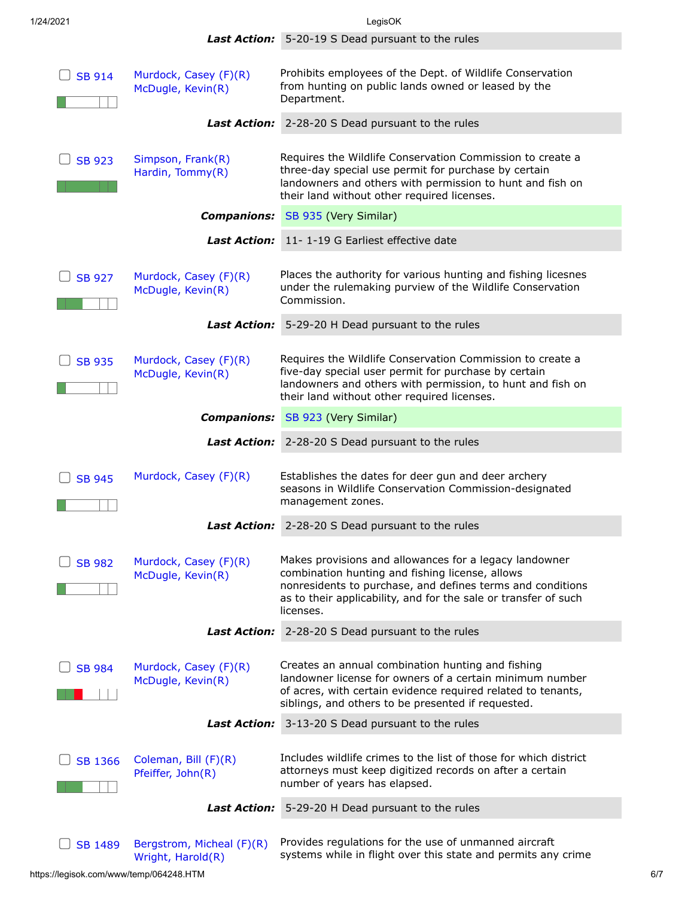1/24/2021 LegisOK *Last Action:* 5-20-19 S Dead pursuant to the rules  $\Box$  [SB 914](https://legisok.com/htbin/web_index?BILL_NUMBER=SB00914&SESSION=57R) [Murdock, Casey \(F\)\(R\)](https://legisok.com/htbin/web_member?57R227) [McDugle, Kevin\(R\)](https://legisok.com/htbin/web_member?57R12) Prohibits employees of the Dept. of Wildlife Conservation from hunting on public lands owned or leased by the Department. *Last Action:* 2-28-20 S Dead pursuant to the rules  $\bigcup$  [SB 923](https://legisok.com/htbin/web_index?BILL_NUMBER=SB00923&SESSION=57R) [Simpson, Frank\(R\)](https://legisok.com/htbin/web_member?57R214) [Hardin, Tommy\(R\)](https://legisok.com/htbin/web_member?57R49) Requires the Wildlife Conservation Commission to create a three-day special use permit for purchase by certain landowners and others with permission to hunt and fish on their land without other required licenses. *Companions:* [SB 935](https://legisok.com/htbin/web_index?BILL_NUMBER=SB00935&SESSION=57R) (Very Similar) *Last Action:* 11- 1-19 G Earliest effective date  $\Box$  [SB 927](https://legisok.com/htbin/web_index?BILL_NUMBER=SB00927&SESSION=57R) [Murdock, Casey \(F\)\(R\)](https://legisok.com/htbin/web_member?57R227) [McDugle, Kevin\(R\)](https://legisok.com/htbin/web_member?57R12) Places the authority for various hunting and fishing licesnes under the rulemaking purview of the Wildlife Conservation Commission. *Last Action:* 5-29-20 H Dead pursuant to the rules  $\bigcup$  [SB 935](https://legisok.com/htbin/web_index?BILL_NUMBER=SB00935&SESSION=57R) [Murdock, Casey \(F\)\(R\)](https://legisok.com/htbin/web_member?57R227) [McDugle, Kevin\(R\)](https://legisok.com/htbin/web_member?57R12) Requires the Wildlife Conservation Commission to create a five-day special user permit for purchase by certain landowners and others with permission, to hunt and fish on their land without other required licenses. *Companions:* [SB 923](https://legisok.com/htbin/web_index?BILL_NUMBER=SB00923&SESSION=57R) (Very Similar) *Last Action:* 2-28-20 S Dead pursuant to the rules  $\Box$  [SB 945](https://legisok.com/htbin/web_index?BILL_NUMBER=SB00945&SESSION=57R) [Murdock, Casey \(F\)\(R\)](https://legisok.com/htbin/web_member?57R227) Establishes the dates for deer gun and deer archery seasons in Wildlife Conservation Commission-designated management zones. *Last Action:* 2-28-20 S Dead pursuant to the rules  $\Box$  [SB 982](https://legisok.com/htbin/web_index?BILL_NUMBER=SB00982&SESSION=57R) [Murdock, Casey \(F\)\(R\)](https://legisok.com/htbin/web_member?57R227) [McDugle, Kevin\(R\)](https://legisok.com/htbin/web_member?57R12) Makes provisions and allowances for a legacy landowner combination hunting and fishing license, allows nonresidents to purchase, and defines terms and conditions as to their applicability, and for the sale or transfer of such licenses. *Last Action:* 2-28-20 S Dead pursuant to the rules [SB 984](https://legisok.com/htbin/web_index?BILL_NUMBER=SB00984&SESSION=57R) [Murdock, Casey \(F\)\(R\)](https://legisok.com/htbin/web_member?57R227) [McDugle, Kevin\(R\)](https://legisok.com/htbin/web_member?57R12) Creates an annual combination hunting and fishing landowner license for owners of a certain minimum number of acres, with certain evidence required related to tenants, siblings, and others to be presented if requested. *Last Action:* 3-13-20 S Dead pursuant to the rules  $\Box$  [SB 1366](https://legisok.com/htbin/web_index?BILL_NUMBER=SB01366&SESSION=57R) [Coleman, Bill \(F\)\(R\)](https://legisok.com/htbin/web_member?57R210) Includes wildlife crimes to the list of those for which district attorneys must keep digitized records on after a certain

number of years has elapsed.

 $\Box$  [SB 1489](https://legisok.com/htbin/web_index?BILL_NUMBER=SB01489&SESSION=57R) [Bergstrom, Micheal \(F\)\(R\)](https://legisok.com/htbin/web_member?57R201) [Wright, Harold\(R\)](https://legisok.com/htbin/web_member?57R57) Provides regulations for the use of unmanned aircraft systems while in flight over this state and permits any crime

[Pfeiffer, John\(R\)](https://legisok.com/htbin/web_member?57R38)